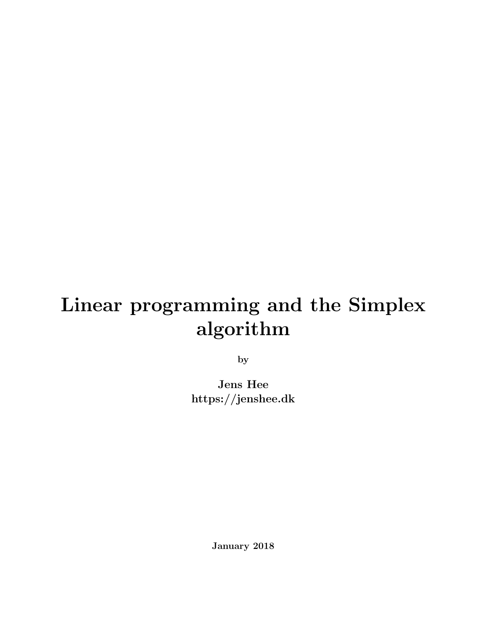# Linear programming and the Simplex algorithm

by

Jens Hee https://jenshee.dk

January 2018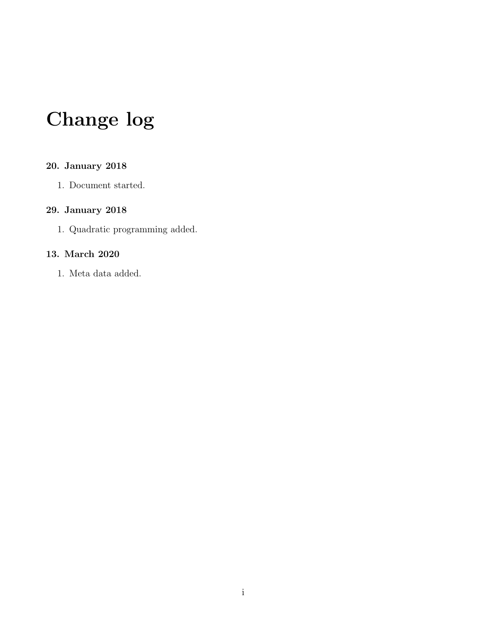# Change log

### 20. January 2018

1. Document started.

### 29. January 2018

1. Quadratic programming added.

#### 13. March 2020

1. Meta data added.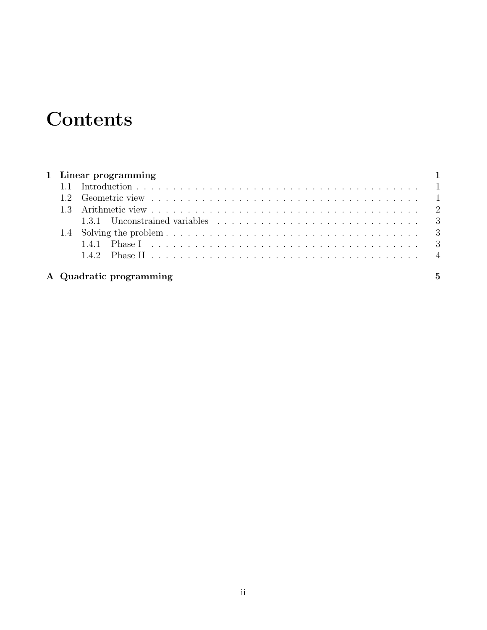# **Contents**

|  | 1 Linear programming    |                |
|--|-------------------------|----------------|
|  |                         |                |
|  |                         |                |
|  |                         |                |
|  |                         |                |
|  |                         |                |
|  |                         |                |
|  |                         |                |
|  | A Quadratic programming | $\overline{5}$ |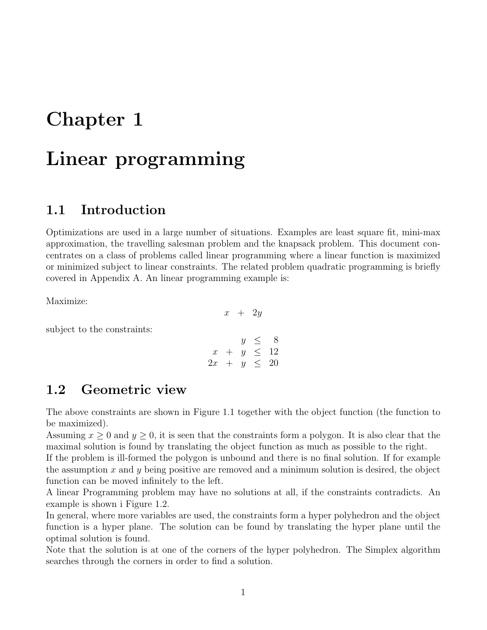### <span id="page-3-0"></span>Chapter 1

## Linear programming

### <span id="page-3-1"></span>1.1 Introduction

Optimizations are used in a large number of situations. Examples are least square fit, mini-max approximation, the travelling salesman problem and the knapsack problem. This document concentrates on a class of problems called linear programming where a linear function is maximized or minimized subject to linear constraints. The related problem quadratic programming is briefly covered in Appendix A. An linear programming example is:

Maximize:

subject to the constraints:

$$
\begin{array}{rcl}\ny & \leq & 8 \\
x & + & y & \leq & 12 \\
2x & + & y & \leq & 20\n\end{array}
$$

 $x + 2y$ 

### <span id="page-3-2"></span>1.2 Geometric view

The above constraints are shown in Figure [1.1](#page-4-1) together with the object function (the function to be maximized).

Assuming  $x \geq 0$  and  $y \geq 0$ , it is seen that the constraints form a polygon. It is also clear that the maximal solution is found by translating the object function as much as possible to the right.

If the problem is ill-formed the polygon is unbound and there is no final solution. If for example the assumption x and y being positive are removed and a minimum solution is desired, the object function can be moved infinitely to the left.

A linear Programming problem may have no solutions at all, if the constraints contradicts. An example is shown i Figure [1.2.](#page-4-2)

In general, where more variables are used, the constraints form a hyper polyhedron and the object function is a hyper plane. The solution can be found by translating the hyper plane until the optimal solution is found.

Note that the solution is at one of the corners of the hyper polyhedron. The Simplex algorithm searches through the corners in order to find a solution.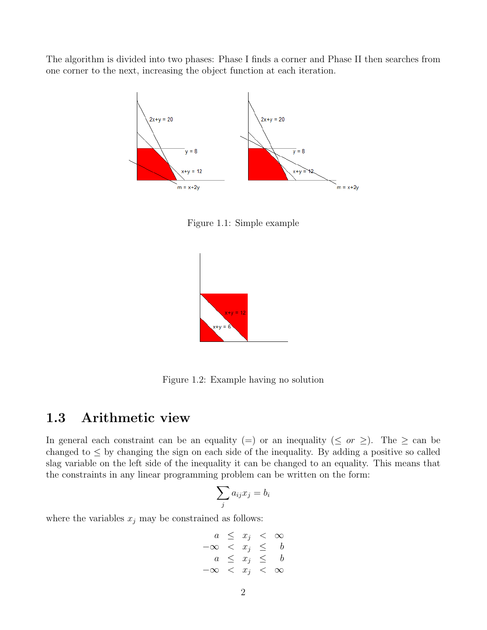The algorithm is divided into two phases: Phase I finds a corner and Phase II then searches from one corner to the next, increasing the object function at each iteration.



<span id="page-4-1"></span>Figure 1.1: Simple example



Figure 1.2: Example having no solution

### <span id="page-4-0"></span>1.3 Arithmetic view

In general each constraint can be an equality (=) or an inequality ( $\leq$  or  $\geq$ ). The  $\geq$  can be changed to  $\leq$  by changing the sign on each side of the inequality. By adding a positive so called slag variable on the left side of the inequality it can be changed to an equality. This means that the constraints in any linear programming problem can be written on the form:

<span id="page-4-2"></span>
$$
\sum_j a_{ij} x_j = b_i
$$

where the variables  $x_j$  may be constrained as follows:

$$
\begin{array}{rcl}\n a & \leq & x_j < & \infty \\
 -\infty & < & x_j < & b \\
 a & \leq & x_j < & & b \\
 -\infty & < & x_j < & \infty\n \end{array}
$$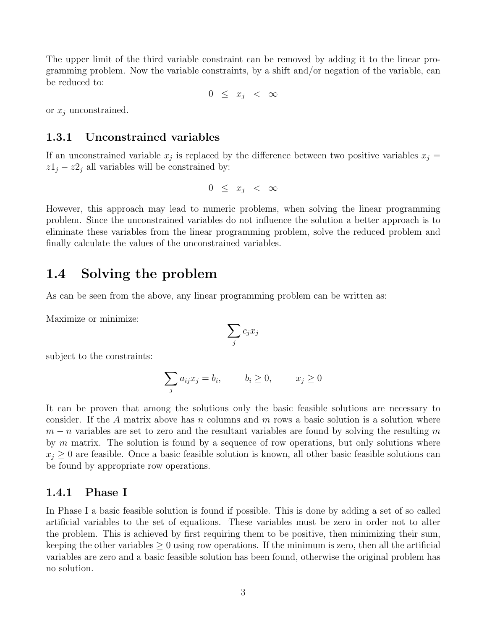The upper limit of the third variable constraint can be removed by adding it to the linear programming problem. Now the variable constraints, by a shift and/or negation of the variable, can be reduced to:

 $0 \leq x_i < \infty$ 

or  $x_i$  unconstrained.

#### <span id="page-5-0"></span>1.3.1 Unconstrained variables

If an unconstrained variable  $x_j$  is replaced by the difference between two positive variables  $x_j =$  $z1_j - z2_j$  all variables will be constrained by:

$$
0 \leq x_j < \infty
$$

However, this approach may lead to numeric problems, when solving the linear programming problem. Since the unconstrained variables do not influence the solution a better approach is to eliminate these variables from the linear programming problem, solve the reduced problem and finally calculate the values of the unconstrained variables.

### <span id="page-5-1"></span>1.4 Solving the problem

As can be seen from the above, any linear programming problem can be written as:

Maximize or minimize:

$$
\sum_j c_j x_j
$$

subject to the constraints:

$$
\sum_j a_{ij} x_j = b_i, \qquad b_i \ge 0, \qquad x_j \ge 0
$$

It can be proven that among the solutions only the basic feasible solutions are necessary to consider. If the A matrix above has n columns and  $m$  rows a basic solution is a solution where  $m - n$  variables are set to zero and the resultant variables are found by solving the resulting m by  $m$  matrix. The solution is found by a sequence of row operations, but only solutions where  $x_i \geq 0$  are feasible. Once a basic feasible solution is known, all other basic feasible solutions can be found by appropriate row operations.

#### <span id="page-5-2"></span>1.4.1 Phase I

In Phase I a basic feasible solution is found if possible. This is done by adding a set of so called artificial variables to the set of equations. These variables must be zero in order not to alter the problem. This is achieved by first requiring them to be positive, then minimizing their sum, keeping the other variables  $\geq 0$  using row operations. If the minimum is zero, then all the artificial variables are zero and a basic feasible solution has been found, otherwise the original problem has no solution.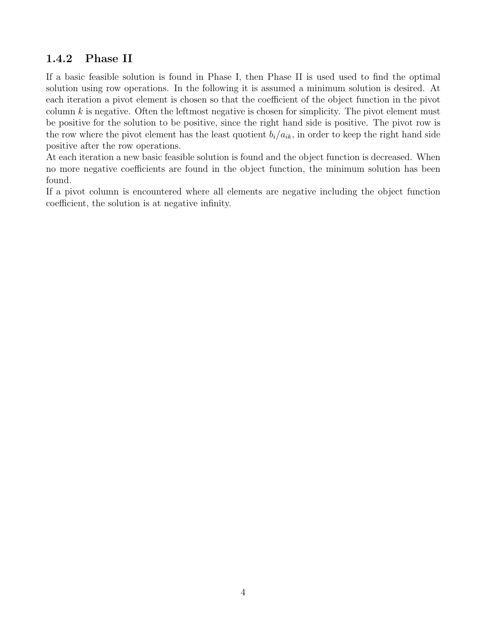### <span id="page-6-0"></span>1.4.2 Phase II

If a basic feasible solution is found in Phase I, then Phase II is used used to find the optimal solution using row operations. In the following it is assumed a minimum solution is desired. At each iteration a pivot element is chosen so that the coefficient of the object function in the pivot column  $k$  is negative. Often the leftmost negative is chosen for simplicity. The pivot element must be positive for the solution to be positive, since the right hand side is positive. The pivot row is the row where the pivot element has the least quotient  $b_i/a_{ik}$ , in order to keep the right hand side positive after the row operations.

At each iteration a new basic feasible solution is found and the object function is decreased. When no more negative coefficients are found in the object function, the minimum solution has been found.

If a pivot column is encountered where all elements are negative including the object function coefficient, the solution is at negative infinity.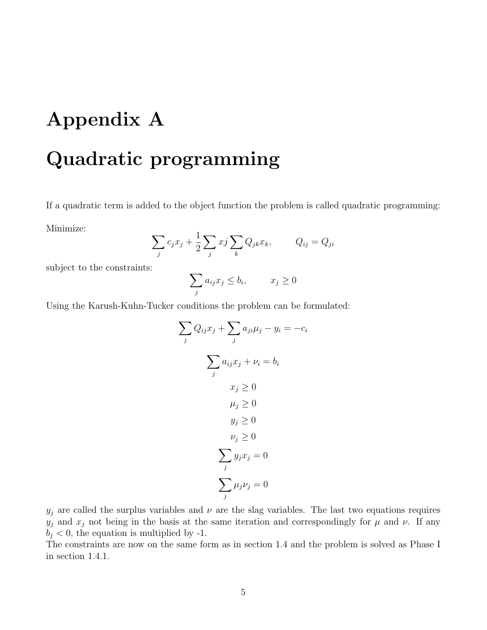# <span id="page-7-0"></span>Appendix A

## Quadratic programming

If a quadratic term is added to the object function the problem is called quadratic programming:

Minimize:

$$
\sum_{j} c_j x_j + \frac{1}{2} \sum_{j} x_j \sum_{k} Q_{jk} x_k, \qquad Q_{ij} = Q_{ji}
$$

subject to the constraints:

$$
\sum_j a_{ij} x_j \le b_i, \qquad x_j \ge 0
$$

Using the Karush-Kuhn-Tucker conditions the problem can be formulated:

$$
\sum_{j} Q_{ij}x_j + \sum_{j} a_{ji}\mu_j - y_i = -c_i
$$

$$
\sum_{j} a_{ij}x_j + \nu_i = b_i
$$

$$
x_j \ge 0
$$

$$
\mu_j \ge 0
$$

$$
y_j \ge 0
$$

$$
\nu_j \ge 0
$$

$$
\sum_{j} y_j x_j = 0
$$

$$
\sum_{j} \mu_j \nu_j = 0
$$

 $y_j$  are called the surplus variables and  $\nu$  are the slag variables. The last two equations requires  $y_j$  and  $x_j$  not being in the basis at the same iteration and correspondingly for  $\mu$  and  $\nu$ . If any  $b_i < 0$ , the equation is multiplied by -1.

The constraints are now on the same form as in section 1.4 and the problem is solved as Phase I in section 1.4.1.